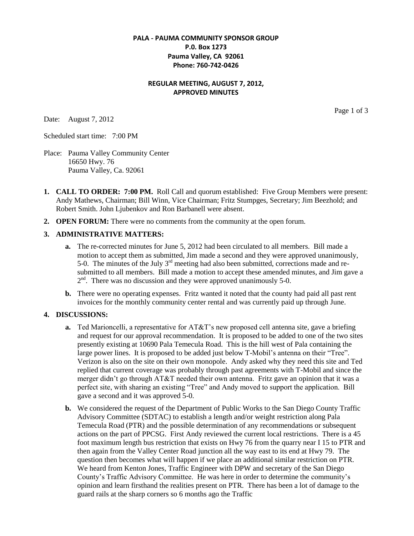### **PALA - PAUMA COMMUNITY SPONSOR GROUP P.0. Box 1273 Pauma Valley, CA 92061 Phone: 760-742-0426**

### **REGULAR MEETING, AUGUST 7, 2012, APPROVED MINUTES**

Date: August 7, 2012

Page 1 of 3

Scheduled start time: 7:00 PM

- Place: Pauma Valley Community Center 16650 Hwy. 76 Pauma Valley, Ca. 92061
- **1. CALL TO ORDER: 7:00 PM.** Roll Call and quorum established: Five Group Members were present: Andy Mathews, Chairman; Bill Winn, Vice Chairman; Fritz Stumpges, Secretary; Jim Beezhold; and Robert Smith. John Ljubenkov and Ron Barbanell were absent.
- **2. OPEN FORUM:** There were no comments from the community at the open forum.

#### **3. ADMINISTRATIVE MATTERS:**

- **a.** The re-corrected minutes for June 5, 2012 had been circulated to all members. Bill made a motion to accept them as submitted, Jim made a second and they were approved unanimously, 5-0. The minutes of the July  $3<sup>rd</sup>$  meeting had also been submitted, corrections made and resubmitted to all members. Bill made a motion to accept these amended minutes, and Jim gave a  $2<sup>nd</sup>$ . There was no discussion and they were approved unanimously 5-0.
- **b.** There were no operating expenses. Fritz wanted it noted that the county had paid all past rent invoices for the monthly community center rental and was currently paid up through June.

#### **4. DISCUSSIONS:**

- **a.** Ted Marioncelli, a representative for AT&T's new proposed cell antenna site, gave a briefing and request for our approval recommendation. It is proposed to be added to one of the two sites presently existing at 10690 Pala Temecula Road. This is the hill west of Pala containing the large power lines. It is proposed to be added just below T-Mobil's antenna on their "Tree". Verizon is also on the site on their own monopole. Andy asked why they need this site and Ted replied that current coverage was probably through past agreements with T-Mobil and since the merger didn't go through AT&T needed their own antenna. Fritz gave an opinion that it was a perfect site, with sharing an existing "Tree" and Andy moved to support the application. Bill gave a second and it was approved 5-0.
- **b.** We considered the request of the Department of Public Works to the San Diego County Traffic Advisory Committee (SDTAC) to establish a length and/or weight restriction along Pala Temecula Road (PTR) and the possible determination of any recommendations or subsequent actions on the part of PPCSG. First Andy reviewed the current local restrictions. There is a 45 foot maximum length bus restriction that exists on Hwy 76 from the quarry near I 15 to PTR and then again from the Valley Center Road junction all the way east to its end at Hwy 79. The question then becomes what will happen if we place an additional similar restriction on PTR. We heard from Kenton Jones, Traffic Engineer with DPW and secretary of the San Diego County's Traffic Advisory Committee. He was here in order to determine the community's opinion and learn firsthand the realities present on PTR. There has been a lot of damage to the guard rails at the sharp corners so 6 months ago the Traffic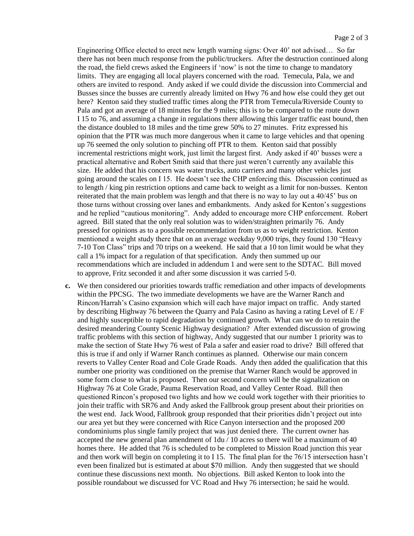Engineering Office elected to erect new length warning signs: Over 40' not advised… So far there has not been much response from the public/truckers. After the destruction continued along the road, the field crews asked the Engineers if 'now' is not the time to change to mandatory limits. They are engaging all local players concerned with the road. Temecula, Pala, we and others are invited to respond. Andy asked if we could divide the discussion into Commercial and Busses since the busses are currently already limited on Hwy 76 and how else could they get out here? Kenton said they studied traffic times along the PTR from Temecula/Riverside County to Pala and got an average of 18 minutes for the 9 miles; this is to be compared to the route down I 15 to 76, and assuming a change in regulations there allowing this larger traffic east bound, then the distance doubled to 18 miles and the time grew 50% to 27 minutes. Fritz expressed his opinion that the PTR was much more dangerous when it came to large vehicles and that opening up 76 seemed the only solution to pinching off PTR to them. Kenton said that possibly incremental restrictions might work, just limit the largest first. Andy asked if 40' busses were a practical alternative and Robert Smith said that there just weren't currently any available this size. He added that his concern was water trucks, auto carriers and many other vehicles just going around the scales on I 15. He doesn't see the CHP enforcing this. Discussion continued as to length / king pin restriction options and came back to weight as a limit for non-busses. Kenton reiterated that the main problem was length and that there is no way to lay out a 40/45' bus on those turns without crossing over lanes and embankments. Andy asked for Kenton's suggestions and he replied "cautious monitoring". Andy added to encourage more CHP enforcement. Robert agreed. Bill stated that the only real solution was to widen/straighten primarily 76. Andy pressed for opinions as to a possible recommendation from us as to weight restriction. Kenton mentioned a weight study there that on an average weekday 9,000 trips, they found 130 "Heavy 7-10 Ton Class" trips and 70 trips on a weekend. He said that a 10 ton limit would be what they call a 1% impact for a regulation of that specification. Andy then summed up our recommendations which are included in addendum 1 and were sent to the SDTAC. Bill moved to approve, Fritz seconded it and after some discussion it was carried 5-0.

**c.** We then considered our priorities towards traffic remediation and other impacts of developments within the PPCSG. The two immediate developments we have are the Warner Ranch and Rincon/Harrah's Casino expansion which will each have major impact on traffic. Andy started by describing Highway 76 between the Quarry and Pala Casino as having a rating Level of  $E/F$ and highly susceptible to rapid degradation by continued growth. What can we do to retain the desired meandering County Scenic Highway designation? After extended discussion of growing traffic problems with this section of highway, Andy suggested that our number 1 priority was to make the section of State Hwy 76 west of Pala a safer and easier road to drive? Bill offered that this is true if and only if Warner Ranch continues as planned. Otherwise our main concern reverts to Valley Center Road and Cole Grade Roads. Andy then added the qualification that this number one priority was conditioned on the premise that Warner Ranch would be approved in some form close to what is proposed. Then our second concern will be the signalization on Highway 76 at Cole Grade, Pauma Reservation Road, and Valley Center Road. Bill then questioned Rincon's proposed two lights and how we could work together with their priorities to join their traffic with SR76 and Andy asked the Fallbrook group present about their priorities on the west end. Jack Wood, Fallbrook group responded that their priorities didn't project out into our area yet but they were concerned with Rice Canyon intersection and the proposed 200 condominiums plus single family project that was just denied there. The current owner has accepted the new general plan amendment of 1du / 10 acres so there will be a maximum of 40 homes there. He added that 76 is scheduled to be completed to Mission Road junction this year and then work will begin on completing it to I 15. The final plan for the 76/15 intersection hasn't even been finalized but is estimated at about \$70 million. Andy then suggested that we should continue these discussions next month. No objections. Bill asked Kenton to look into the possible roundabout we discussed for VC Road and Hwy 76 intersection; he said he would.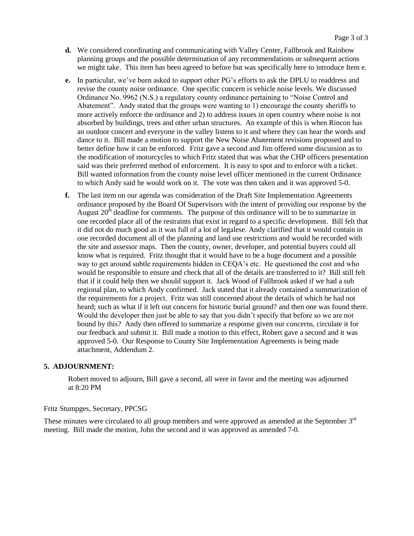- **d.** We considered coordinating and communicating with Valley Center, Fallbrook and Rainbow planning groups and the possible determination of any recommendations or subsequent actions we might take. This item has been agreed to before but was specifically here to introduce Item e.
- **e.** In particular, we've been asked to support other PG's efforts to ask the DPLU to readdress and revise the county noise ordinance. One specific concern is vehicle noise levels. We discussed Ordinance No. 9962 (N.S.) a regulatory county ordinance pertaining to "Noise Control and Abatement". Andy stated that the groups were wanting to 1) encourage the county sheriffs to more actively enforce the ordinance and 2) to address issues in open country where noise is not absorbed by buildings, trees and other urban structures. An example of this is when Rincon has an outdoor concert and everyone in the valley listens to it and where they can hear the words and dance to it. Bill made a motion to support the New Noise Abatement revisions proposed and to better define how it can be enforced. Fritz gave a second and Jim offered some discussion as to the modification of motorcycles to which Fritz stated that was what the CHP officers presentation said was their preferred method of enforcement. It is easy to spot and to enforce with a ticket. Bill wanted information from the county noise level officer mentioned in the current Ordinance to which Andy said he would work on it. The vote was then taken and it was approved 5-0.
- **f.** The last item on our agenda was consideration of the Draft Site Implementation Agreements ordinance proposed by the Board Of Supervisors with the intent of providing our response by the August  $20<sup>th</sup>$  deadline for comments. The purpose of this ordinance will to be to summarize in one recorded place all of the restraints that exist in regard to a specific development. Bill felt that it did not do much good as it was full of a lot of legalese. Andy clarified that it would contain in one recorded document all of the planning and land use restrictions and would be recorded with the site and assessor maps. Then the county, owner, developer, and potential buyers could all know what is required. Fritz thought that it would have to be a huge document and a possible way to get around subtle requirements hidden in CEQA's etc. He questioned the cost and who would be responsible to ensure and check that all of the details are transferred to it? Bill still felt that if it could help then we should support it. Jack Wood of Fallbrook asked if we had a sub regional plan, to which Andy confirmed. Jack stated that it already contained a summarization of the requirements for a project. Fritz was still concerned about the details of which he had not heard; such as what if it left out concern for historic burial ground? and then one was found there. Would the developer then just be able to say that you didn't specify that before so we are not bound by this? Andy then offered to summarize a response given our concerns, circulate it for our feedback and submit it. Bill made a motion to this effect, Robert gave a second and it was approved 5-0. Our Response to County Site Implementation Agreements is being made attachment, Addendum 2.

#### **5. ADJOURNMENT:**

 Robert moved to adjourn, Bill gave a second, all were in favor and the meeting was adjourned at 8:20 PM

#### Fritz Stumpges, Secretary, PPCSG

These minutes were circulated to all group members and were approved as amended at the September 3<sup>rd</sup> meeting. Bill made the motion, John the second and it was approved as amended 7-0.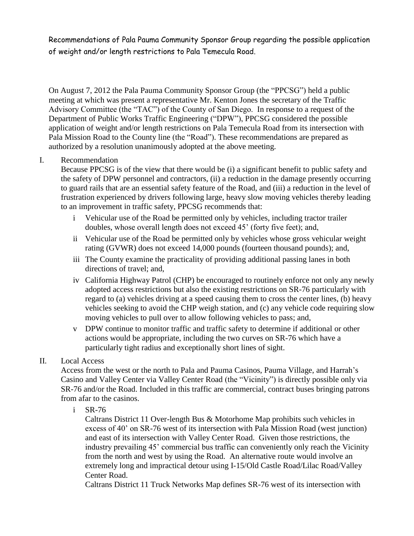Recommendations of Pala Pauma Community Sponsor Group regarding the possible application of weight and/or length restrictions to Pala Temecula Road.

On August 7, 2012 the Pala Pauma Community Sponsor Group (the "PPCSG") held a public meeting at which was present a representative Mr. Kenton Jones the secretary of the Traffic Advisory Committee (the "TAC") of the County of San Diego. In response to a request of the Department of Public Works Traffic Engineering ("DPW"), PPCSG considered the possible application of weight and/or length restrictions on Pala Temecula Road from its intersection with Pala Mission Road to the County line (the "Road"). These recommendations are prepared as authorized by a resolution unanimously adopted at the above meeting.

## I. Recommendation

Because PPCSG is of the view that there would be (i) a significant benefit to public safety and the safety of DPW personnel and contractors, (ii) a reduction in the damage presently occurring to guard rails that are an essential safety feature of the Road, and (iii) a reduction in the level of frustration experienced by drivers following large, heavy slow moving vehicles thereby leading to an improvement in traffic safety, PPCSG recommends that:

- i Vehicular use of the Road be permitted only by vehicles, including tractor trailer doubles, whose overall length does not exceed 45' (forty five feet); and,
- ii Vehicular use of the Road be permitted only by vehicles whose gross vehicular weight rating (GVWR) does not exceed 14,000 pounds (fourteen thousand pounds); and,
- iii The County examine the practicality of providing additional passing lanes in both directions of travel; and,
- iv California Highway Patrol (CHP) be encouraged to routinely enforce not only any newly adopted access restrictions but also the existing restrictions on SR-76 particularly with regard to (a) vehicles driving at a speed causing them to cross the center lines, (b) heavy vehicles seeking to avoid the CHP weigh station, and (c) any vehicle code requiring slow moving vehicles to pull over to allow following vehicles to pass; and,
- v DPW continue to monitor traffic and traffic safety to determine if additional or other actions would be appropriate, including the two curves on SR-76 which have a particularly tight radius and exceptionally short lines of sight.

## II. Local Access

Access from the west or the north to Pala and Pauma Casinos, Pauma Village, and Harrah's Casino and Valley Center via Valley Center Road (the "Vicinity") is directly possible only via SR-76 and/or the Road. Included in this traffic are commercial, contract buses bringing patrons from afar to the casinos.

i SR-76

Caltrans District 11 Over-length Bus & Motorhome Map prohibits such vehicles in excess of 40' on SR-76 west of its intersection with Pala Mission Road (west junction) and east of its intersection with Valley Center Road. Given those restrictions, the industry prevailing 45' commercial bus traffic can conveniently only reach the Vicinity from the north and west by using the Road. An alternative route would involve an extremely long and impractical detour using I-15/Old Castle Road/Lilac Road/Valley Center Road.

Caltrans District 11 Truck Networks Map defines SR-76 west of its intersection with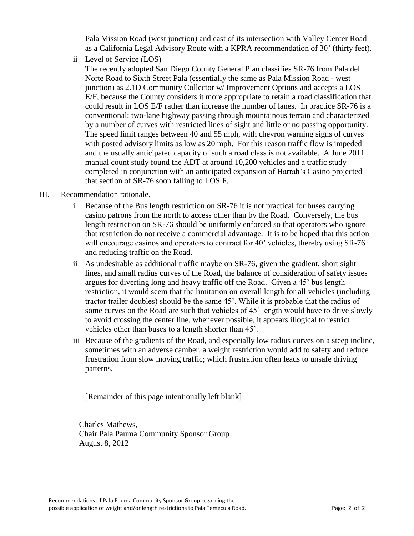Pala Mission Road (west junction) and east of its intersection with Valley Center Road as a California Legal Advisory Route with a KPRA recommendation of 30' (thirty feet).

ii Level of Service (LOS)

The recently adopted San Diego County General Plan classifies SR-76 from Pala del Norte Road to Sixth Street Pala (essentially the same as Pala Mission Road - west junction) as 2.1D Community Collector w/ Improvement Options and accepts a LOS E/F, because the County considers it more appropriate to retain a road classification that could result in LOS E/F rather than increase the number of lanes. In practice SR-76 is a conventional; two-lane highway passing through mountainous terrain and characterized by a number of curves with restricted lines of sight and little or no passing opportunity. The speed limit ranges between 40 and 55 mph, with chevron warning signs of curves with posted advisory limits as low as 20 mph. For this reason traffic flow is impeded and the usually anticipated capacity of such a road class is not available. A June 2011 manual count study found the ADT at around 10,200 vehicles and a traffic study completed in conjunction with an anticipated expansion of Harrah's Casino projected that section of SR-76 soon falling to LOS F.

- III. Recommendation rationale.
	- i Because of the Bus length restriction on SR-76 it is not practical for buses carrying casino patrons from the north to access other than by the Road. Conversely, the bus length restriction on SR-76 should be uniformly enforced so that operators who ignore that restriction do not receive a commercial advantage. It is to be hoped that this action will encourage casinos and operators to contract for 40' vehicles, thereby using SR-76 and reducing traffic on the Road.
	- ii As undesirable as additional traffic maybe on SR-76, given the gradient, short sight lines, and small radius curves of the Road, the balance of consideration of safety issues argues for diverting long and heavy traffic off the Road. Given a 45' bus length restriction, it would seem that the limitation on overall length for all vehicles (including tractor trailer doubles) should be the same 45'. While it is probable that the radius of some curves on the Road are such that vehicles of 45' length would have to drive slowly to avoid crossing the center line, whenever possible, it appears illogical to restrict vehicles other than buses to a length shorter than 45'.
	- iii Because of the gradients of the Road, and especially low radius curves on a steep incline, sometimes with an adverse camber, a weight restriction would add to safety and reduce frustration from slow moving traffic; which frustration often leads to unsafe driving patterns.

[Remainder of this page intentionally left blank]

Charles Mathews, Chair Pala Pauma Community Sponsor Group August 8, 2012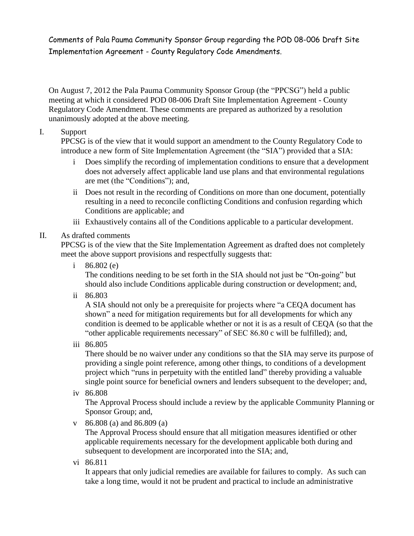Comments of Pala Pauma Community Sponsor Group regarding the POD 08-006 Draft Site Implementation Agreement - County Regulatory Code Amendments.

On August 7, 2012 the Pala Pauma Community Sponsor Group (the "PPCSG") held a public meeting at which it considered POD 08-006 Draft Site Implementation Agreement - County Regulatory Code Amendment. These comments are prepared as authorized by a resolution unanimously adopted at the above meeting.

# I. Support

PPCSG is of the view that it would support an amendment to the County Regulatory Code to introduce a new form of Site Implementation Agreement (the "SIA") provided that a SIA:

- i Does simplify the recording of implementation conditions to ensure that a development does not adversely affect applicable land use plans and that environmental regulations are met (the "Conditions"); and,
- ii Does not result in the recording of Conditions on more than one document, potentially resulting in a need to reconcile conflicting Conditions and confusion regarding which Conditions are applicable; and
- iii Exhaustively contains all of the Conditions applicable to a particular development.

# II. As drafted comments

PPCSG is of the view that the Site Implementation Agreement as drafted does not completely meet the above support provisions and respectfully suggests that:

i 86.802 (e)

The conditions needing to be set forth in the SIA should not just be "On-going" but should also include Conditions applicable during construction or development; and,

ii 86.803

A SIA should not only be a prerequisite for projects where "a CEQA document has shown" a need for mitigation requirements but for all developments for which any condition is deemed to be applicable whether or not it is as a result of CEQA (so that the "other applicable requirements necessary" of SEC 86.80 c will be fulfilled); and,

iii 86.805

There should be no waiver under any conditions so that the SIA may serve its purpose of providing a single point reference, among other things, to conditions of a development project which "runs in perpetuity with the entitled land" thereby providing a valuable single point source for beneficial owners and lenders subsequent to the developer; and,

iv 86.808

The Approval Process should include a review by the applicable Community Planning or Sponsor Group; and,

v 86.808 (a) and 86.809 (a)

The Approval Process should ensure that all mitigation measures identified or other applicable requirements necessary for the development applicable both during and subsequent to development are incorporated into the SIA; and,

vi 86.811

It appears that only judicial remedies are available for failures to comply. As such can take a long time, would it not be prudent and practical to include an administrative